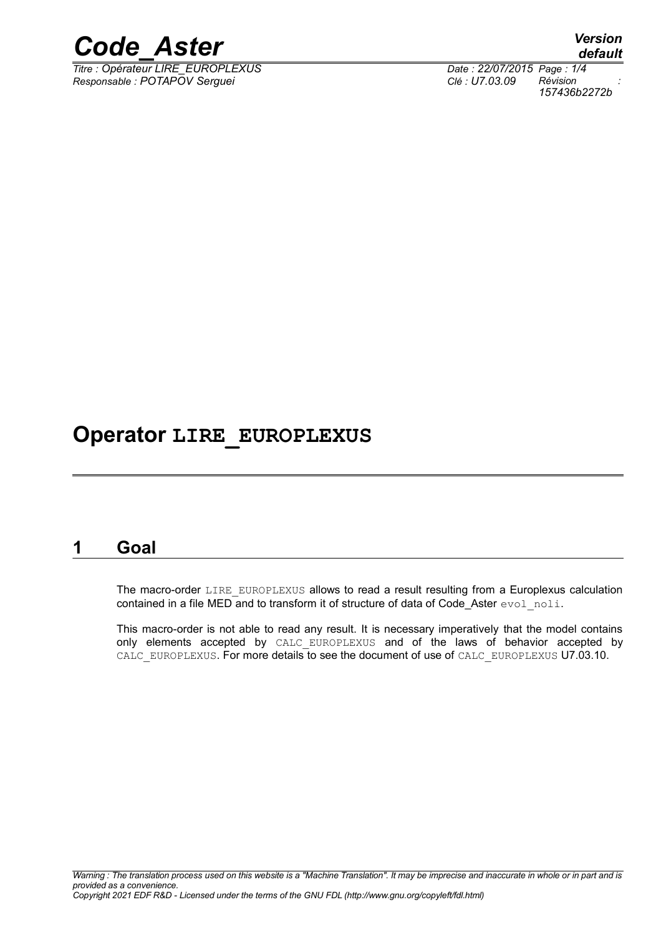

*Titre : Opérateur LIRE\_EUROPLEXUS Date : 22/07/2015 Page : 1/4 Responsable : POTAPOV Serguei Clé : U7.03.09 Révision :*

*default 157436b2272b*

#### **Operator LIRE\_EUROPLEXUS**

#### **1 Goal**

The macro-order LIRE\_EUROPLEXUS allows to read a result resulting from a Europlexus calculation contained in a file MED and to transform it of structure of data of Code Aster evol noli.

This macro-order is not able to read any result. It is necessary imperatively that the model contains only elements accepted by CALC EUROPLEXUS and of the laws of behavior accepted by CALC\_EUROPLEXUS. For more details to see the document of use of CALC\_EUROPLEXUS U7.03.10.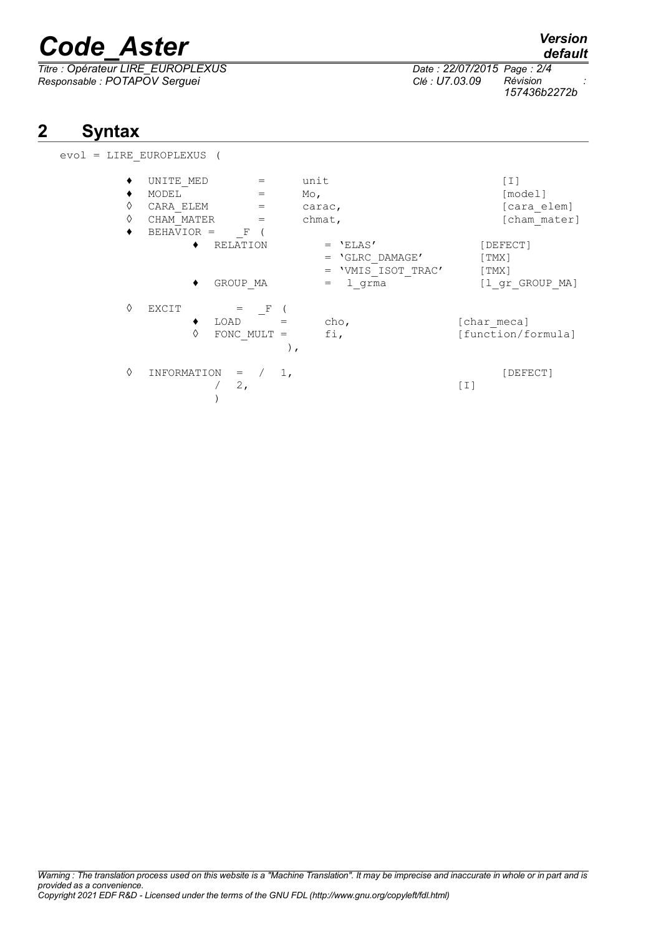# *Code\_Aster Version*

*Titre : Opérateur LIRE\_EUROPLEXUS Date : 22/07/2015 Page : 2/4 Responsable : POTAPOV Serguei Clé : U7.03.09 Révision :*

*Warning : The translation process used on this website is a "Machine Translation". It may be imprecise and inaccurate in whole or in part and is provided as a convenience.*

### **2 Syntax**

| evol |  | = LIRE EUROPLEXUS |  |
|------|--|-------------------|--|
|      |  |                   |  |

| ٠ | UNITE MED                  |               | unit               | [ I ]              |
|---|----------------------------|---------------|--------------------|--------------------|
| ٠ | MODEL                      | $=$           | $Mo$ ,             | [model]            |
| ♦ | CARA ELEM                  | $=$           | carac,             | [cara elem]        |
| ♦ | CHAM MATER                 | $=$           | chmat,             | [cham mater]       |
| ٠ | BEHAVIOR =<br>$\mathbb{F}$ |               |                    |                    |
|   | RELATION                   |               | $=$ 'ELAS'         | [DEFECT]           |
|   |                            |               | $=$ 'GLRC DAMAGE'  | [TMX]              |
|   |                            |               | = 'VMIS ISOT TRAC' | [ TMX ]            |
|   | GROUP MA                   |               | l grma<br>$=$      | [1 gr GROUP MA]    |
| ♦ | EXCIT<br>$=$               | F             |                    |                    |
|   | LOAD                       |               | cho,               | [char meca]        |
|   | ♦                          | FONC MULT $=$ | fi,                | [function/formula] |
|   |                            | $\, \cdot \,$ |                    |                    |
| ♦ | INFORMATION<br>$=$         | 1,            |                    | [DEFECT]           |
|   | 2,                         |               |                    | $\lceil 1 \rceil$  |
|   |                            |               |                    |                    |

*157436b2272b*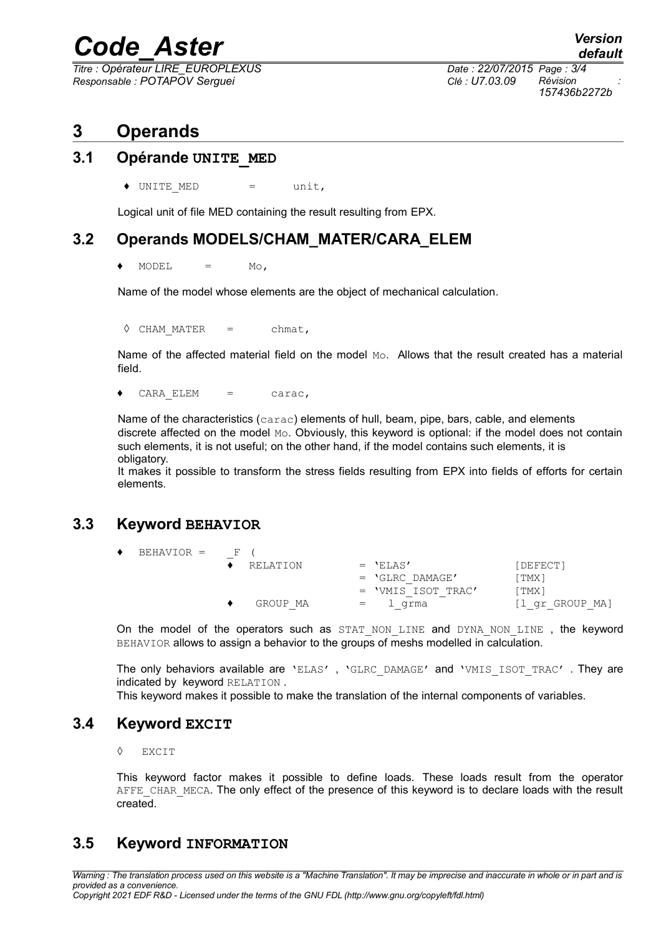### *Code\_Aster Version*

*Titre : Opérateur LIRE\_EUROPLEXUS Date : 22/07/2015 Page : 3/4 Responsable : POTAPOV Serguei Clé : U7.03.09 Révision :*

*157436b2272b*

#### **3 Operands**

#### **3.1 Opérande UNITE\_MED**

◆ UNITE MED = unit,

Logical unit of file MED containing the result resulting from EPX.

#### **3.2 Operands MODELS/CHAM\_MATER/CARA\_ELEM**

 $MODEL = MO$ .

Name of the model whose elements are the object of mechanical calculation.

**◊** CHAM\_MATER = chmat,

Name of the affected material field on the model Mo. Allows that the result created has a material field.

 $\bullet$  CARA ELEM = carac,

Name of the characteristics (carac) elements of hull, beam, pipe, bars, cable, and elements discrete affected on the model Mo. Obviously, this keyword is optional: if the model does not contain such elements, it is not useful; on the other hand, if the model contains such elements, it is obligatory. The contract of the contract of the contract of the contract of the contract of the contract of the contract of the contract of the contract of the contract of the contract of the contract of the contract of th

It makes it possible to transform the stress fields resulting from EPX into fields of efforts for certain elements.

#### **3.3 Keyword BEHAVIOR**

| BEHAVIOR = | $F \cup$ |          |     |                    |                 |
|------------|----------|----------|-----|--------------------|-----------------|
|            |          | RELATION |     | $=$ 'ELAS'         | [DEFECT]        |
|            |          |          |     | $=$ 'GLRC DAMAGE'  | [TMX]           |
|            |          |          |     | = 'VMIS ISOT TRAC' | [TMX]           |
|            |          | GROUP MA | $=$ | l qrma             | [1 gr GROUP MA] |

On the model of the operators such as STAT NON LINE and DYNA NON LINE , the keyword BEHAVIOR allows to assign a behavior to the groups of meshs modelled in calculation.

The only behaviors available are 'ELAS', 'GLRC DAMAGE' and 'VMIS ISOT TRAC'. They are indicated by keyword RELATION .

This keyword makes it possible to make the translation of the internal components of variables.

#### **3.4 Keyword EXCIT**

◊ EXCIT

This keyword factor makes it possible to define loads. These loads result from the operator AFFE CHAR MECA. The only effect of the presence of this keyword is to declare loads with the result created.

#### **3.5 Keyword INFORMATION**

*Warning : The translation process used on this website is a "Machine Translation". It may be imprecise and inaccurate in whole or in part and is provided as a convenience. Copyright 2021 EDF R&D - Licensed under the terms of the GNU FDL (http://www.gnu.org/copyleft/fdl.html)*